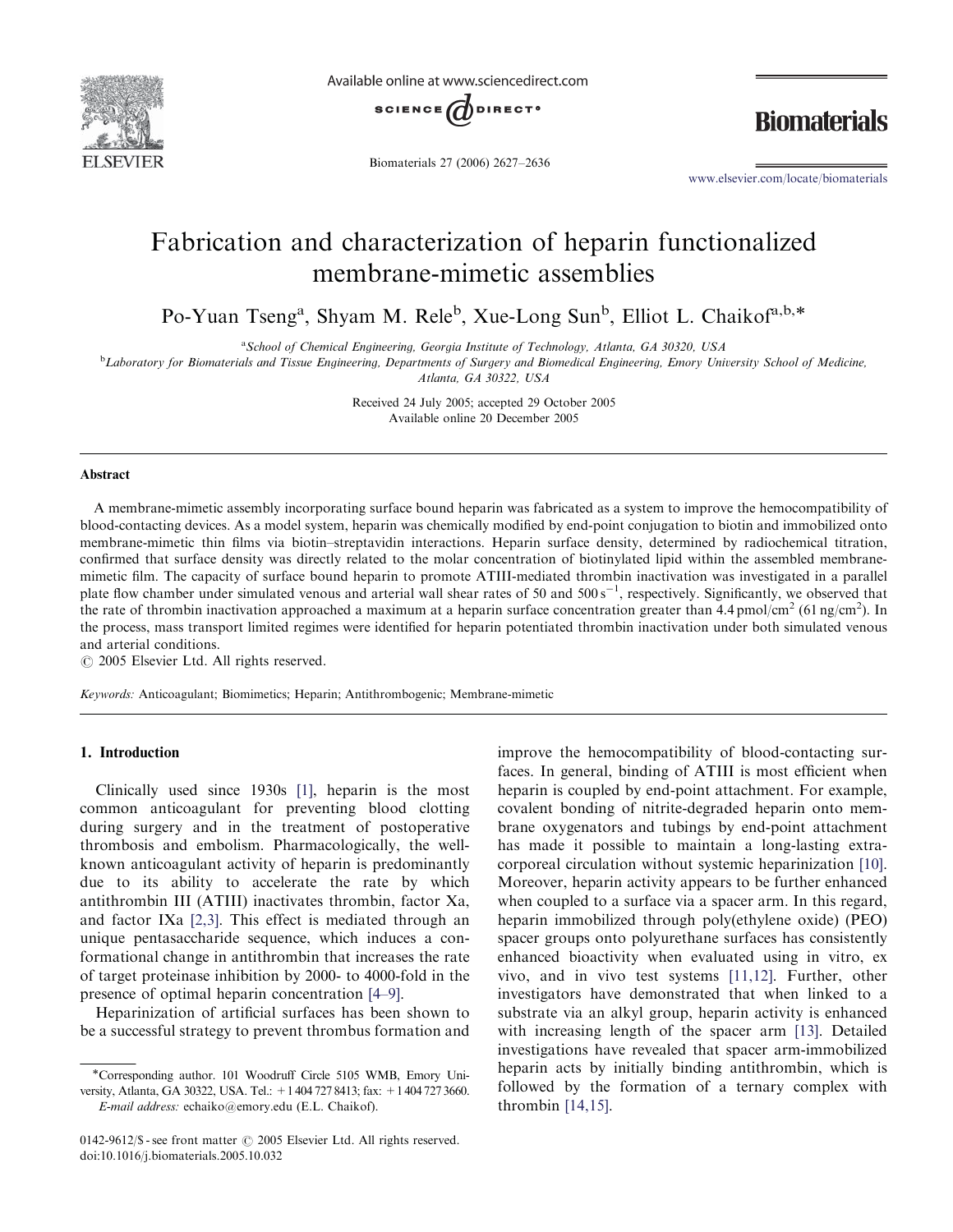

Available online at www.sciencedirect.com



Biomaterials 27 (2006) 2627–2636

**Biomaterials** 

www.elsevier.com/locate/biomaterials

# Fabrication and characterization of heparin functionalized membrane-mimetic assemblies

Po-Yuan Tseng<sup>a</sup>, Shyam M. Rele<sup>b</sup>, Xue-Long Sun<sup>b</sup>, Elliot L. Chaikof<sup>a,b,\*</sup>

<sup>a</sup> School of Chemical Engineering, Georgia Institute of Technology, Atlanta, GA 30320, USA

**bLaboratory for Biomaterials and Tissue Engineering, Departments of Surgery and Biomedical Engineering, Emory University School of Medicine,** Atlanta, GA 30322, USA

Received 24 July 2005; accepted 29 October 2005 Available online 20 December 2005

#### Abstract

A membrane-mimetic assembly incorporating surface bound heparin was fabricated as a system to improve the hemocompatibility of blood-contacting devices. As a model system, heparin was chemically modified by end-point conjugation to biotin and immobilized onto membrane-mimetic thin films via biotin–streptavidin interactions. Heparin surface density, determined by radiochemical titration, confirmed that surface density was directly related to the molar concentration of biotinylated lipid within the assembled membranemimetic film. The capacity of surface bound heparin to promote ATIII-mediated thrombin inactivation was investigated in a parallel plate flow chamber under simulated venous and arterial wall shear rates of 50 and  $500 \text{ s}^{-1}$ , respectively. Significantly, we observed that the rate of thrombin inactivation approached a maximum at a heparin surface concentration greater than  $4.4 \text{ pmol/cm}^2$  (61 ng/cm<sup>2</sup>). In the process, mass transport limited regimes were identified for heparin potentiated thrombin inactivation under both simulated venous and arterial conditions.

 $\odot$  2005 Elsevier Ltd. All rights reserved.

Keywords: Anticoagulant; Biomimetics; Heparin; Antithrombogenic; Membrane-mimetic

# 1. Introduction

Clinically used since 1930s [1], heparin is the most common anticoagulant for preventing blood clotting during surgery and in the treatment of postoperative thrombosis and embolism. Pharmacologically, the wellknown anticoagulant activity of heparin is predominantly due to its ability to accelerate the rate by which antithrombin III (ATIII) inactivates thrombin, factor Xa, and factor IXa [2,3]. This effect is mediated through an unique pentasaccharide sequence, which induces a conformational change in antithrombin that increases the rate of target proteinase inhibition by 2000- to 4000-fold in the presence of optimal heparin concentration [4–9].

Heparinization of artificial surfaces has been shown to be a successful strategy to prevent thrombus formation and

-Corresponding author. 101 Woodruff Circle 5105 WMB, Emory University, Atlanta, GA 30322, USA. Tel.: +1 404 727 8413; fax: +1 404 727 3660. E-mail address: echaiko@emory.edu (E.L. Chaikof).

0142-9612/ $\$  - see front matter  $\circ$  2005 Elsevier Ltd. All rights reserved. doi:10.1016/j.biomaterials.2005.10.032

improve the hemocompatibility of blood-contacting surfaces. In general, binding of ATIII is most efficient when heparin is coupled by end-point attachment. For example, covalent bonding of nitrite-degraded heparin onto membrane oxygenators and tubings by end-point attachment has made it possible to maintain a long-lasting extracorporeal circulation without systemic heparinization [10]. Moreover, heparin activity appears to be further enhanced when coupled to a surface via a spacer arm. In this regard, heparin immobilized through poly(ethylene oxide) (PEO) spacer groups onto polyurethane surfaces has consistently enhanced bioactivity when evaluated using in vitro, ex vivo, and in vivo test systems [11,12]. Further, other investigators have demonstrated that when linked to a substrate via an alkyl group, heparin activity is enhanced with increasing length of the spacer arm [13]. Detailed investigations have revealed that spacer arm-immobilized heparin acts by initially binding antithrombin, which is followed by the formation of a ternary complex with thrombin [14,15].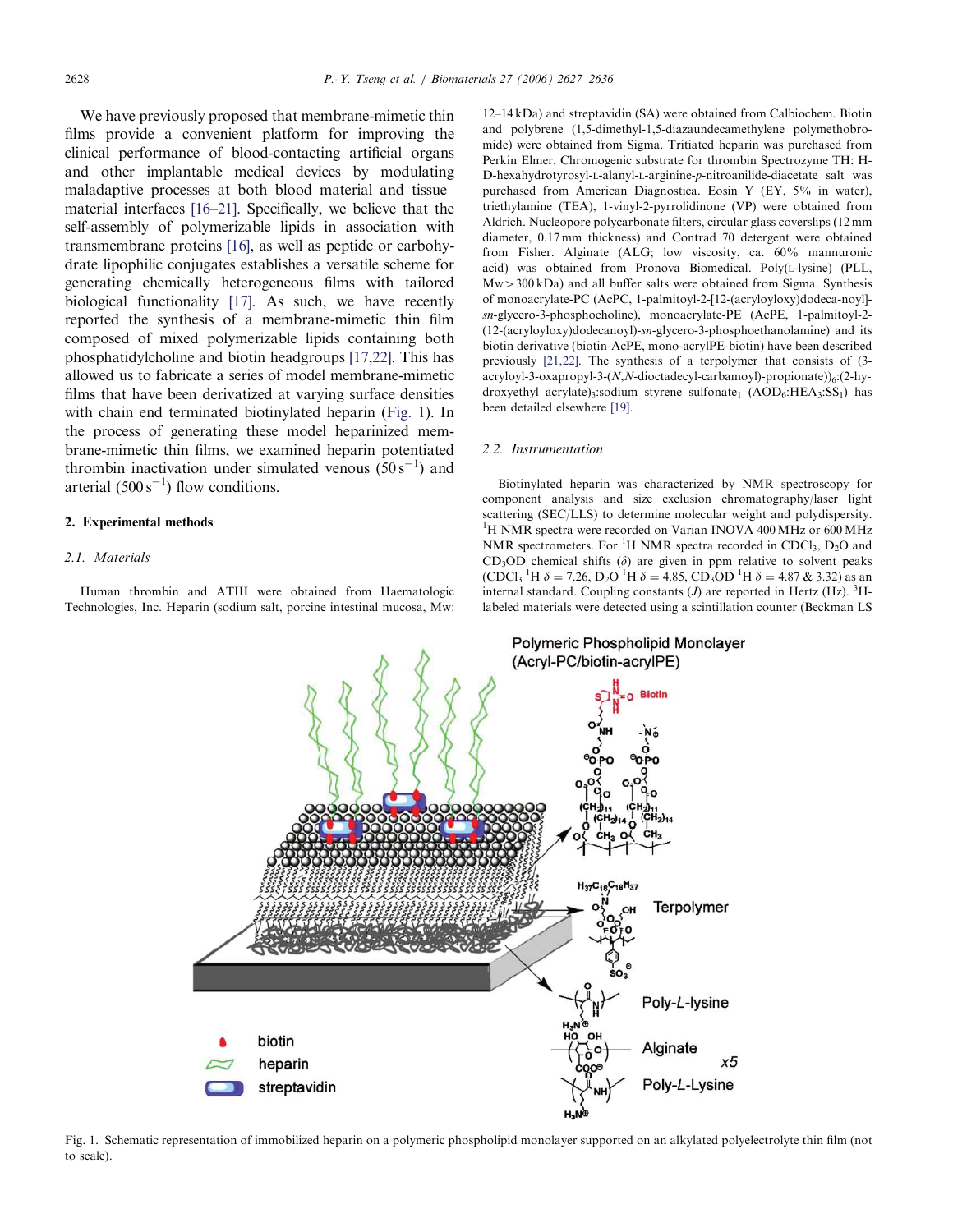We have previously proposed that membrane-mimetic thin films provide a convenient platform for improving the clinical performance of blood-contacting artificial organs and other implantable medical devices by modulating maladaptive processes at both blood–material and tissue– material interfaces [16–21]. Specifically, we believe that the self-assembly of polymerizable lipids in association with transmembrane proteins [16], as well as peptide or carbohydrate lipophilic conjugates establishes a versatile scheme for generating chemically heterogeneous films with tailored biological functionality [17]. As such, we have recently reported the synthesis of a membrane-mimetic thin film composed of mixed polymerizable lipids containing both phosphatidylcholine and biotin headgroups [17,22]. This has allowed us to fabricate a series of model membrane-mimetic films that have been derivatized at varying surface densities with chain end terminated biotinylated heparin (Fig. 1). In the process of generating these model heparinized membrane-mimetic thin films, we examined heparin potentiated thrombin inactivation under simulated venous  $(50 s<sup>-1</sup>)$  and arterial  $(500 \text{ s}^{-1})$  flow conditions.

# 2. Experimental methods

#### 2.1. Materials

Human thrombin and ATIII were obtained from Haematologic Technologies, Inc. Heparin (sodium salt, porcine intestinal mucosa, Mw: 12–14 kDa) and streptavidin (SA) were obtained from Calbiochem. Biotin and polybrene (1,5-dimethyl-1,5-diazaundecamethylene polymethobromide) were obtained from Sigma. Tritiated heparin was purchased from Perkin Elmer. Chromogenic substrate for thrombin Spectrozyme TH: H-D-hexahydrotyrosyl-L-alanyl-L-arginine-p-nitroanilide-diacetate salt was purchased from American Diagnostica. Eosin Y (EY, 5% in water), triethylamine (TEA), 1-vinyl-2-pyrrolidinone (VP) were obtained from Aldrich. Nucleopore polycarbonate filters, circular glass coverslips (12 mm diameter, 0.17 mm thickness) and Contrad 70 detergent were obtained from Fisher. Alginate (ALG; low viscosity, ca. 60% mannuronic acid) was obtained from Pronova Biomedical. Poly(L-lysine) (PLL,  $Mw > 300$  kDa) and all buffer salts were obtained from Sigma. Synthesis of monoacrylate-PC (AcPC, 1-palmitoyl-2-[12-(acryloyloxy)dodeca-noyl] sn-glycero-3-phosphocholine), monoacrylate-PE (AcPE, 1-palmitoyl-2- (12-(acryloyloxy)dodecanoyl)-sn-glycero-3-phosphoethanolamine) and its biotin derivative (biotin-AcPE, mono-acrylPE-biotin) have been described previously [21,22]. The synthesis of a terpolymer that consists of (3 acryloyl-3-oxapropyl-3- $(N, N$ -dioctadecyl-carbamoyl)-propionate)) $_6$ : $(2-hy$ droxyethyl acrylate)<sub>3</sub>:sodium styrene sulfonate<sub>1</sub> (AOD<sub>6</sub>:HEA<sub>3</sub>:SS<sub>1</sub>) has been detailed elsewhere [19].

#### 2.2. Instrumentation

Biotinylated heparin was characterized by NMR spectroscopy for component analysis and size exclusion chromatography/laser light scattering (SEC/LLS) to determine molecular weight and polydispersity. <sup>1</sup>H NMR spectra were recorded on Varian INOVA 400 MHz or 600 MHz NMR spectrometers. For  ${}^{1}H$  NMR spectra recorded in CDCl<sub>3</sub>, D<sub>2</sub>O and  $CD<sub>3</sub>OD$  chemical shifts ( $\delta$ ) are given in ppm relative to solvent peaks (CDCl<sub>3</sub> <sup>1</sup>H  $\delta$  = 7.26, D<sub>2</sub>O <sup>1</sup>H  $\delta$  = 4.85, CD<sub>3</sub>OD <sup>1</sup>H  $\delta$  = 4.87 & 3.32) as an internal standard. Coupling constants  $(J)$  are reported in Hertz (Hz). <sup>3</sup>Hlabeled materials were detected using a scintillation counter (Beckman LS



Fig. 1. Schematic representation of immobilized heparin on a polymeric phospholipid monolayer supported on an alkylated polyelectrolyte thin film (not to scale).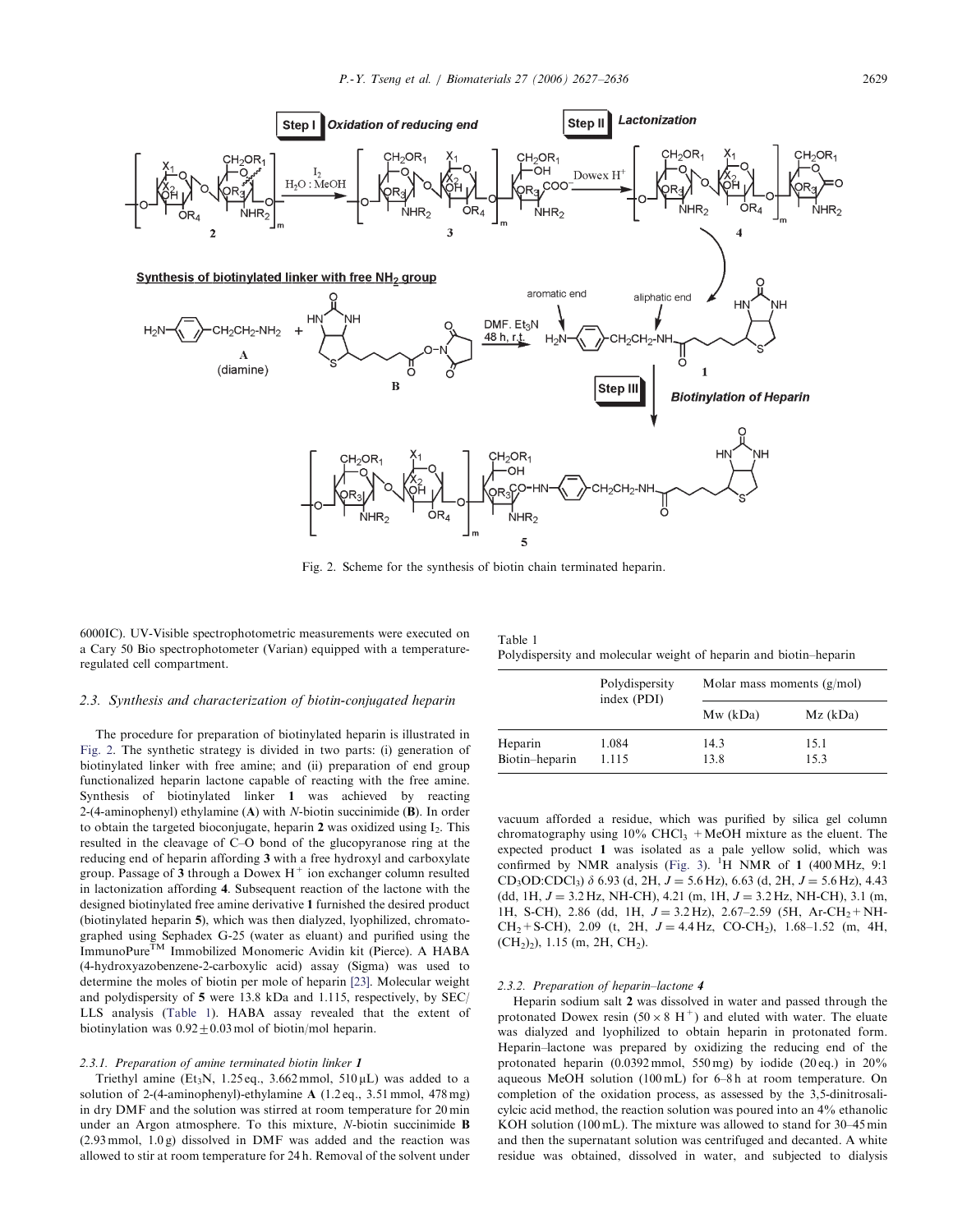

Fig. 2. Scheme for the synthesis of biotin chain terminated heparin.

6000IC). UV-Visible spectrophotometric measurements were executed on a Cary 50 Bio spectrophotometer (Varian) equipped with a temperatureregulated cell compartment.

#### 2.3. Synthesis and characterization of biotin-conjugated heparin

The procedure for preparation of biotinylated heparin is illustrated in Fig. 2. The synthetic strategy is divided in two parts: (i) generation of biotinylated linker with free amine; and (ii) preparation of end group functionalized heparin lactone capable of reacting with the free amine. Synthesis of biotinylated linker 1 was achieved by reacting 2-(4-aminophenyl) ethylamine  $(A)$  with N-biotin succinimide  $(B)$ . In order to obtain the targeted bioconjugate, heparin  $2$  was oxidized using  $I_2$ . This resulted in the cleavage of C–O bond of the glucopyranose ring at the reducing end of heparin affording 3 with a free hydroxyl and carboxylate group. Passage of 3 through a Dowex  $H^+$  ion exchanger column resulted in lactonization affording 4. Subsequent reaction of the lactone with the designed biotinylated free amine derivative 1 furnished the desired product (biotinylated heparin 5), which was then dialyzed, lyophilized, chromatographed using Sephadex G-25 (water as eluant) and purified using the ImmunoPure<sup>TM</sup> Immobilized Monomeric Avidin kit (Pierce). A HABA (4-hydroxyazobenzene-2-carboxylic acid) assay (Sigma) was used to determine the moles of biotin per mole of heparin [23]. Molecular weight and polydispersity of 5 were 13.8 kDa and 1.115, respectively, by SEC/ LLS analysis (Table 1). HABA assay revealed that the extent of biotinylation was  $0.92 \pm 0.03$  mol of biotin/mol heparin.

#### 2.3.1. Preparation of amine terminated biotin linker 1

Triethyl amine (Et<sub>3</sub>N, 1.25 eq., 3.662 mmol, 510  $\mu$ L) was added to a solution of 2-(4-aminophenyl)-ethylamine A (1.2 eq., 3.51 mmol, 478 mg) in dry DMF and the solution was stirred at room temperature for 20 min under an Argon atmosphere. To this mixture, N-biotin succinimide B  $(2.93 \text{ mmol}, 1.0 \text{ g})$  dissolved in DMF was added and the reaction was allowed to stir at room temperature for 24 h. Removal of the solvent under

| Table 1                                                           |  |  |  |  |
|-------------------------------------------------------------------|--|--|--|--|
| Polydispersity and molecular weight of heparin and biotin-heparin |  |  |  |  |

|                | Polydispersity<br>index (PDI) | Molar mass moments $(g/mol)$ |            |  |  |
|----------------|-------------------------------|------------------------------|------------|--|--|
|                |                               | Mw (kDa)                     | $Mz$ (kDa) |  |  |
| Heparin        | 1.084                         | 14.3                         | 15.1       |  |  |
| Biotin-heparin | 1.115                         | 13.8                         | 15.3       |  |  |

vacuum afforded a residue, which was purified by silica gel column chromatography using  $10\%$  CHCl<sub>3</sub> +MeOH mixture as the eluent. The expected product 1 was isolated as a pale yellow solid, which was confirmed by NMR analysis (Fig. 3).  ${}^{1}H$  NMR of 1 (400 MHz, 9:1 CD<sub>3</sub>OD:CDCl<sub>3</sub>)  $\delta$  6.93 (d, 2H,  $J = 5.6$  Hz), 6.63 (d, 2H,  $J = 5.6$  Hz), 4.43 (dd, 1H,  $J = 3.2$  Hz, NH-CH), 4.21 (m, 1H,  $J = 3.2$  Hz, NH-CH), 3.1 (m, 1H, S-CH), 2.86 (dd, 1H,  $J = 3.2$  Hz), 2.67–2.59 (5H, Ar-CH<sub>2</sub>+NH- $CH_2+S-CH$ ), 2.09 (t, 2H,  $J = 4.4$  Hz, CO-CH<sub>2</sub>), 1.68–1.52 (m, 4H,  $(CH<sub>2</sub>)<sub>2</sub>$ ), 1.15 (m, 2H, CH<sub>2</sub>).

# 2.3.2. Preparation of heparin–lactone 4

Heparin sodium salt 2 was dissolved in water and passed through the protonated Dowex resin  $(50 \times 8 \text{ H}^+)$  and eluted with water. The eluate was dialyzed and lyophilized to obtain heparin in protonated form. Heparin–lactone was prepared by oxidizing the reducing end of the protonated heparin  $(0.0392 \text{ mmol}, 550 \text{ mg})$  by iodide  $(20 \text{ eq.})$  in  $20\%$ aqueous MeOH solution (100 mL) for 6–8 h at room temperature. On completion of the oxidation process, as assessed by the 3,5-dinitrosalicylcic acid method, the reaction solution was poured into an 4% ethanolic KOH solution (100 mL). The mixture was allowed to stand for 30–45 min and then the supernatant solution was centrifuged and decanted. A white residue was obtained, dissolved in water, and subjected to dialysis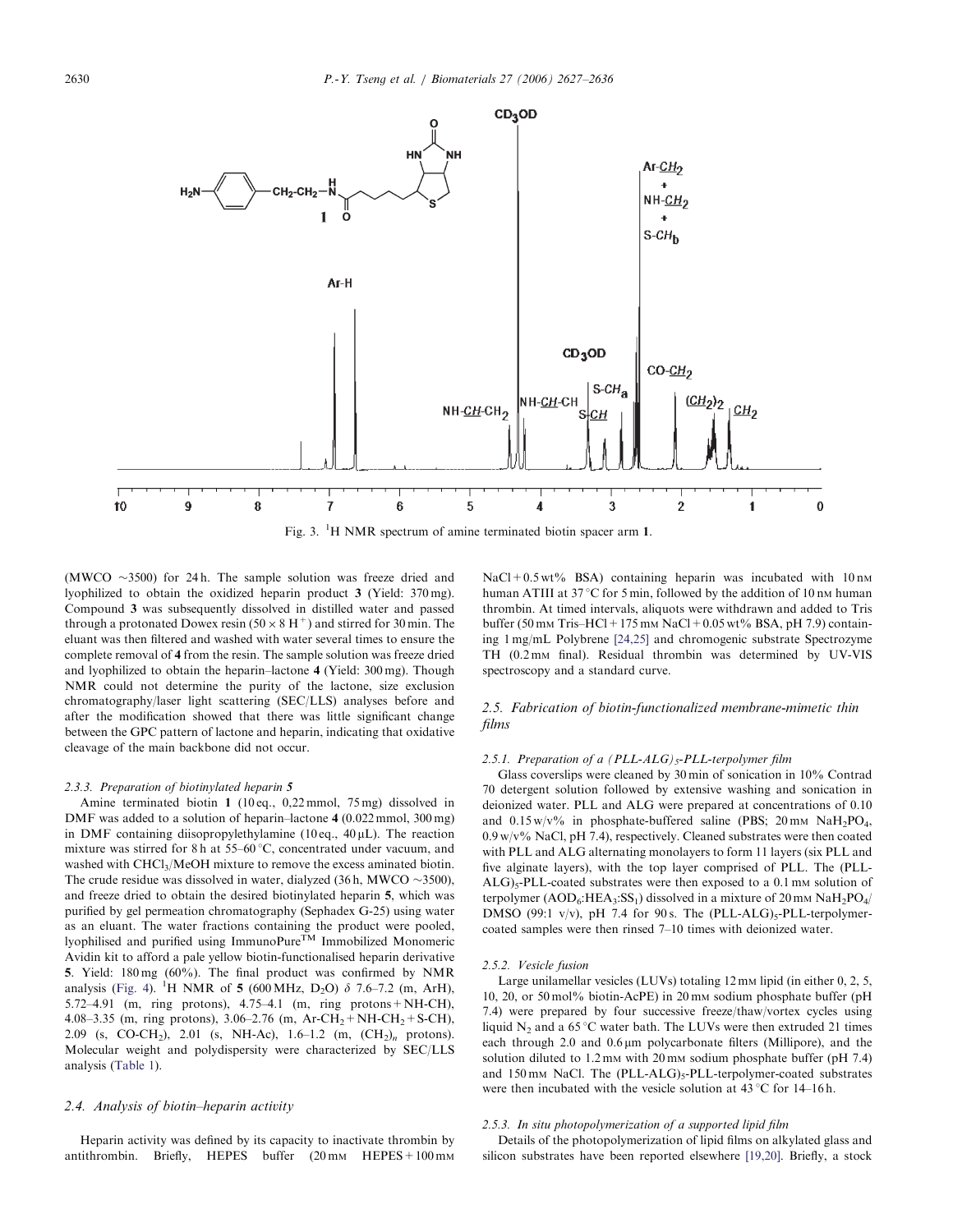

Fig. 3. <sup>1</sup>H NMR spectrum of amine terminated biotin spacer arm 1.

(MWCO  $\sim$ 3500) for 24 h. The sample solution was freeze dried and lyophilized to obtain the oxidized heparin product 3 (Yield: 370 mg). Compound 3 was subsequently dissolved in distilled water and passed through a protonated Dowex resin  $(50 \times 8 \text{ H}^+)$  and stirred for 30 min. The eluant was then filtered and washed with water several times to ensure the complete removal of 4 from the resin. The sample solution was freeze dried and lyophilized to obtain the heparin–lactone 4 (Yield: 300 mg). Though NMR could not determine the purity of the lactone, size exclusion chromatography/laser light scattering (SEC/LLS) analyses before and after the modification showed that there was little significant change between the GPC pattern of lactone and heparin, indicating that oxidative cleavage of the main backbone did not occur.

#### 2.3.3. Preparation of biotinylated heparin 5

10

Amine terminated biotin 1 (10 eq., 0,22 mmol, 75 mg) dissolved in DMF was added to a solution of heparin–lactone 4 (0.022 mmol, 300 mg) in DMF containing diisopropylethylamine (10 eq.,  $40 \mu L$ ). The reaction mixture was stirred for 8 h at  $55-60$  °C, concentrated under vacuum, and washed with CHCl<sub>3</sub>/MeOH mixture to remove the excess aminated biotin. The crude residue was dissolved in water, dialyzed  $(36 h, MWCO \sim 3500)$ , and freeze dried to obtain the desired biotinylated heparin 5, which was purified by gel permeation chromatography (Sephadex G-25) using water as an eluant. The water fractions containing the product were pooled, lyophilised and purified using ImmunoPure<sup>TM</sup> Immobilized Monomeric Avidin kit to afford a pale yellow biotin-functionalised heparin derivative 5. Yield: 180 mg (60%). The final product was confirmed by NMR analysis (Fig. 4). <sup>1</sup>H NMR of **5** (600 MHz, D<sub>2</sub>O)  $\delta$  7.6–7.2 (m, ArH), 5.72–4.91 (m, ring protons), 4.75–4.1 (m, ring protons+NH-CH), 4.08–3.35 (m, ring protons), 3.06–2.76 (m, Ar-CH<sub>2</sub>+NH-CH<sub>2</sub>+S-CH), 2.09 (s, CO-CH<sub>2</sub>), 2.01 (s, NH-Ac), 1.6–1.2 (m,  $(CH_2)_n$  protons). Molecular weight and polydispersity were characterized by SEC/LLS analysis (Table 1).

#### 2.4. Analysis of biotin–heparin activity

Heparin activity was defined by its capacity to inactivate thrombin by antithrombin. Briefly, HEPES buffer  $(20 \text{ mm}$  HEPES +  $100 \text{ mm}$   $NaCl + 0.5 wt\%$  BSA) containing heparin was incubated with 10 nm human ATIII at 37 °C for 5 min, followed by the addition of 10 nm human thrombin. At timed intervals, aliquots were withdrawn and added to Tris buffer (50 mm Tris–HCl + 175 mm NaCl + 0.05 wt% BSA, pH 7.9) containing 1 mg/mL Polybrene [24,25] and chromogenic substrate Spectrozyme TH (0.2 mm final). Residual thrombin was determined by UV-VIS spectroscopy and a standard curve.

# 2.5. Fabrication of biotin-functionalized membrane-mimetic thin films

#### 2.5.1. Preparation of a  $(PLL-ALG)_5$ -PLL-terpolymer film

Glass coverslips were cleaned by 30 min of sonication in 10% Contrad 70 detergent solution followed by extensive washing and sonication in deionized water. PLL and ALG were prepared at concentrations of 0.10 and  $0.15 \text{ w/v}$ % in phosphate-buffered saline (PBS; 20 mm NaH<sub>2</sub>PO<sub>4</sub>,  $0.9 \,\mathrm{w/v\%}$  NaCl, pH 7.4), respectively. Cleaned substrates were then coated with PLL and ALG alternating monolayers to form 11 layers (six PLL and five alginate layers), with the top layer comprised of PLL. The (PLL- $ALG$ <sub>5</sub>-PLL-coated substrates were then exposed to a 0.1 mm solution of terpolymer ( $AOD_6$ : HEA<sub>3</sub>: SS<sub>1</sub>) dissolved in a mixture of 20 mm  $NaH_2PO_4/$ DMSO (99:1 v/v), pH 7.4 for 90 s. The (PLL-ALG) $_5$ -PLL-terpolymercoated samples were then rinsed 7–10 times with deionized water.

#### 2.5.2. Vesicle fusion

Large unilamellar vesicles (LUVs) totaling  $12 \text{ mm}$  lipid (in either 0, 2, 5, 10, 20, or 50 mol% biotin-AcPE) in 20 mM sodium phosphate buffer (pH 7.4) were prepared by four successive freeze/thaw/vortex cycles using liquid  $N_2$  and a 65 °C water bath. The LUVs were then extruded 21 times each through 2.0 and  $0.6 \mu m$  polycarbonate filters (Millipore), and the solution diluted to  $1.2 \text{ mm}$  with  $20 \text{ mm}$  sodium phosphate buffer (pH 7.4) and 150 mm NaCl. The (PLL-ALG)<sub>5</sub>-PLL-terpolymer-coated substrates were then incubated with the vesicle solution at  $43^{\circ}$ C for 14–16 h.

#### 2.5.3. In situ photopolymerization of a supported lipid film

Details of the photopolymerization of lipid films on alkylated glass and silicon substrates have been reported elsewhere [19,20]. Briefly, a stock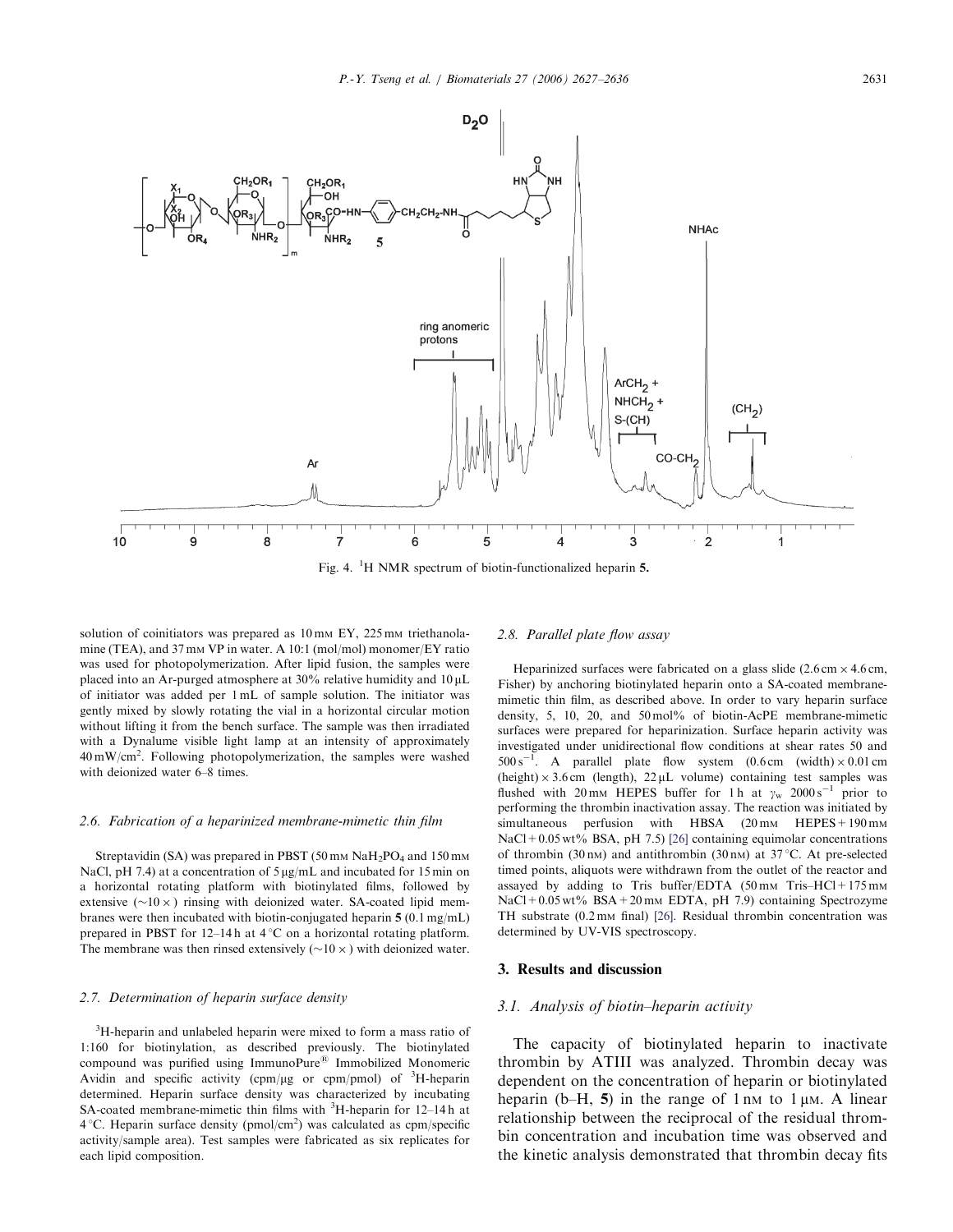

solution of coinitiators was prepared as 10 mm EY, 225 mm triethanolamine (TEA), and 37 mm VP in water. A 10:1 (mol/mol) monomer/EY ratio was used for photopolymerization. After lipid fusion, the samples were placed into an Ar-purged atmosphere at  $30\%$  relative humidity and  $10 \mu L$ of initiator was added per 1 mL of sample solution. The initiator was gently mixed by slowly rotating the vial in a horizontal circular motion without lifting it from the bench surface. The sample was then irradiated with a Dynalume visible light lamp at an intensity of approximately  $40 \text{ mW/cm}^2$ . Following photopolymerization, the samples were washed with deionized water 6–8 times.

#### 2.6. Fabrication of a heparinized membrane-mimetic thin film

Streptavidin (SA) was prepared in PBST (50 mm  $NaH<sub>2</sub>PO<sub>4</sub>$  and 150 mm NaCl, pH 7.4) at a concentration of  $5 \mu g/mL$  and incubated for 15 min on a horizontal rotating platform with biotinylated films, followed by extensive  $(\sim 10 \times)$  rinsing with deionized water. SA-coated lipid membranes were then incubated with biotin-conjugated heparin 5 (0.1 mg/mL) prepared in PBST for 12–14 h at  $4^{\circ}$ C on a horizontal rotating platform. The membrane was then rinsed extensively  $(\sim 10 \times)$  with deionized water.

#### 2.7. Determination of heparin surface density

<sup>3</sup>H-heparin and unlabeled heparin were mixed to form a mass ratio of 1:160 for biotinylation, as described previously. The biotinylated compound was purified using ImmunoPure<sup>®</sup> Immobilized Monomeric Avidin and specific activity (cpm/ $\mu$ g or cpm/pmol) of <sup>3</sup>H-heparin determined. Heparin surface density was characterized by incubating SA-coated membrane-mimetic thin films with <sup>3</sup>H-heparin for 12-14h at  $4^{\circ}$ C. Heparin surface density (pmol/cm<sup>2</sup>) was calculated as cpm/specific activity/sample area). Test samples were fabricated as six replicates for each lipid composition.

# 2.8. Parallel plate flow assay

Heparinized surfaces were fabricated on a glass slide  $(2.6 \text{ cm} \times 4.6 \text{ cm},$ Fisher) by anchoring biotinylated heparin onto a SA-coated membranemimetic thin film, as described above. In order to vary heparin surface density, 5, 10, 20, and 50 mol% of biotin-AcPE membrane-mimetic surfaces were prepared for heparinization. Surface heparin activity was investigated under unidirectional flow conditions at shear rates 50 and  $500 \text{ s}^{-1}$ . A parallel plate flow system  $(0.6 \text{ cm} \text{ (width)} \times 0.01 \text{ cm}$ (height)  $\times$  3.6 cm (length), 22 µL volume) containing test samples was flushed with 20 mm HEPES buffer for 1 h at  $\gamma_w$  2000 s<sup>-1</sup> prior to performing the thrombin inactivation assay. The reaction was initiated by simultaneous perfusion with HBSA  $(20 \text{ mm}$  HEPES + 190 mm NaCl+0.05 wt% BSA, pH 7.5) [26] containing equimolar concentrations of thrombin (30 nm) and antithrombin (30 nm) at 37 °C. At pre-selected timed points, aliquots were withdrawn from the outlet of the reactor and assayed by adding to Tris buffer/EDTA  $(50 \text{ mm Tris}-HCl+175 \text{ mm})$ NaCl+0.05 wt% BSA+20 mm EDTA, pH 7.9) containing Spectrozyme TH substrate (0.2 mm final) [26]. Residual thrombin concentration was determined by UV-VIS spectroscopy.

# 3. Results and discussion

# 3.1. Analysis of biotin–heparin activity

The capacity of biotinylated heparin to inactivate thrombin by ATIII was analyzed. Thrombin decay was dependent on the concentration of heparin or biotinylated heparin (b–H, 5) in the range of  $1 \text{ nm}$  to  $1 \mu \text{M}$ . A linear relationship between the reciprocal of the residual thrombin concentration and incubation time was observed and the kinetic analysis demonstrated that thrombin decay fits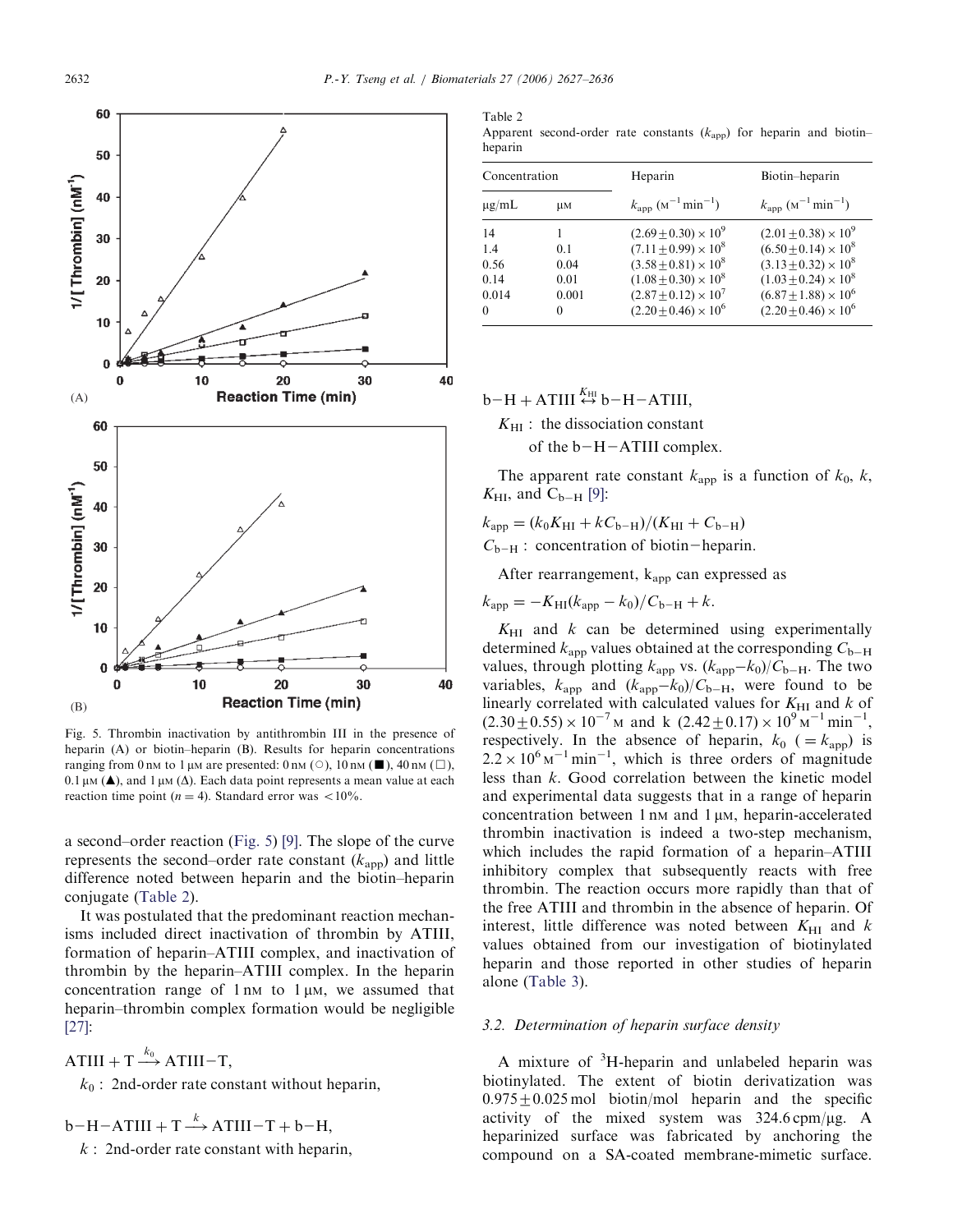

Fig. 5. Thrombin inactivation by antithrombin III in the presence of heparin (A) or biotin–heparin (B). Results for heparin concentrations ranging from 0 nM to 1 µM are presented: 0 nM ( $\circ$ ), 10 nM ( $\Box$ ), 40 nM ( $\Box$ ), 0.1  $\mu$ M ( $\triangle$ ), and 1  $\mu$ M ( $\triangle$ ). Each data point represents a mean value at each reaction time point ( $n = 4$ ). Standard error was <10%.

a second–order reaction (Fig. 5) [9]. The slope of the curve represents the second–order rate constant  $(k<sub>app</sub>)$  and little difference noted between heparin and the biotin–heparin conjugate (Table 2).

It was postulated that the predominant reaction mechanisms included direct inactivation of thrombin by ATIII, formation of heparin–ATIII complex, and inactivation of thrombin by the heparin–ATIII complex. In the heparin concentration range of  $1 \text{ nm}$  to  $1 \mu\text{M}$ , we assumed that heparin–thrombin complex formation would be negligible [27]:

ATIII + T  $\stackrel{\dots}{\longrightarrow}$  $\stackrel{k_0}{\rightarrow}$  ATIII-T,

 $k_0$ : 2nd-order rate constant without heparin,

 $b-H-ATHI + T \stackrel{k}{\longrightarrow} ATIII-T + b-H,$ 

 $k:$  2nd-order rate constant with heparin,

Table 2 Apparent second-order rate constants  $(k<sub>app</sub>)$  for heparin and biotinheparin

| Concentration |       | Heparin                                      | Biotin-heparin                               |  |
|---------------|-------|----------------------------------------------|----------------------------------------------|--|
| $\mu$ g/mL    | uм    | $k_{\rm app}$ ( $M^{-1}$ min <sup>-1</sup> ) | $k_{\rm app}$ ( $M^{-1}$ min <sup>-1</sup> ) |  |
| 14            |       | $(2.69+0.30)\times 10^9$                     | $(2.01 \pm 0.38) \times 10^9$                |  |
| 1.4           | 0.1   | $(7.11+0.99)\times 10^8$                     | $(6.50+0.14) \times 10^8$                    |  |
| 0.56          | 0.04  | $(3.58 + 0.81) \times 10^8$                  | $(3.13 + 0.32) \times 10^8$                  |  |
| 0.14          | 0.01  | $(1.08 \pm 0.30) \times 10^8$                | $(1.03 \pm 0.24) \times 10^8$                |  |
| 0.014         | 0.001 | $(2.87+0.12)\times 10^7$                     | $(6.87 \pm 1.88) \times 10^6$                |  |
| 0             | 0     | $(2.20 \pm 0.46) \times 10^6$                | $(2.20 \pm 0.46) \times 10^6$                |  |

# $b-H + ATIII \leftrightarrow b-H-ATIII$

 $K_{\rm HI}$ : the dissociation constant of the  $b-H-ATHI$  complex.

The apparent rate constant  $k_{\text{app}}$  is a function of  $k_0$ , k,  $K_{\rm HI}$ , and  $C_{\rm b-H}$  [9]:

 $k<sub>app</sub> = (k<sub>0</sub>K<sub>HI</sub> + kC<sub>b-H</sub>)/(K<sub>HI</sub> + C<sub>b-H</sub>)$ 

 $C_{b-H}$ : concentration of biotin-heparin.

After rearrangement,  $k_{\text{ann}}$  can expressed as

 $k_{\rm app} = -K_{\rm HI}(k_{\rm app} - k_0)/C_{\rm b-H} + k.$ 

 $K_{\text{HI}}$  and  $k$  can be determined using experimentally determined  $k_{\text{app}}$  values obtained at the corresponding  $C_{\text{b-H}}$ values, through plotting  $k_{\text{app}}$  vs.  $(k_{\text{app}}-k_0)/C_{\text{b--H}}$ . The two variables,  $k_{\text{app}}$  and  $(k_{\text{app}}-k_0)/C_{\text{b-H}}$ , were found to be linearly correlated with calculated values for  $K_{\text{HI}}$  and  $k$  of  $(2.30 \pm 0.55) \times 10^{-7}$  M and k  $(2.42 \pm 0.17) \times 10^{9}$  M<sup>-1</sup> min<sup>-1</sup>, respectively. In the absence of heparin,  $k_0$  ( $=k_{\text{app}}$ ) is  $2.2 \times 10^{6}$  M<sup>-1</sup> min<sup>-1</sup>, which is three orders of magnitude less than k. Good correlation between the kinetic model and experimental data suggests that in a range of heparin concentration between  $1 \text{ nm}$  and  $1 \mu$ M, heparin-accelerated thrombin inactivation is indeed a two-step mechanism, which includes the rapid formation of a heparin–ATIII inhibitory complex that subsequently reacts with free thrombin. The reaction occurs more rapidly than that of the free ATIII and thrombin in the absence of heparin. Of interest, little difference was noted between  $K_{\text{HI}}$  and k values obtained from our investigation of biotinylated heparin and those reported in other studies of heparin alone (Table 3).

# 3.2. Determination of heparin surface density

A mixture of  $3H$ -heparin and unlabeled heparin was biotinylated. The extent of biotin derivatization was  $0.975 \pm 0.025$  mol biotin/mol heparin and the specific activity of the mixed system was  $324.6 \text{cpm}/\mu\text{g}$ . A heparinized surface was fabricated by anchoring the compound on a SA-coated membrane-mimetic surface.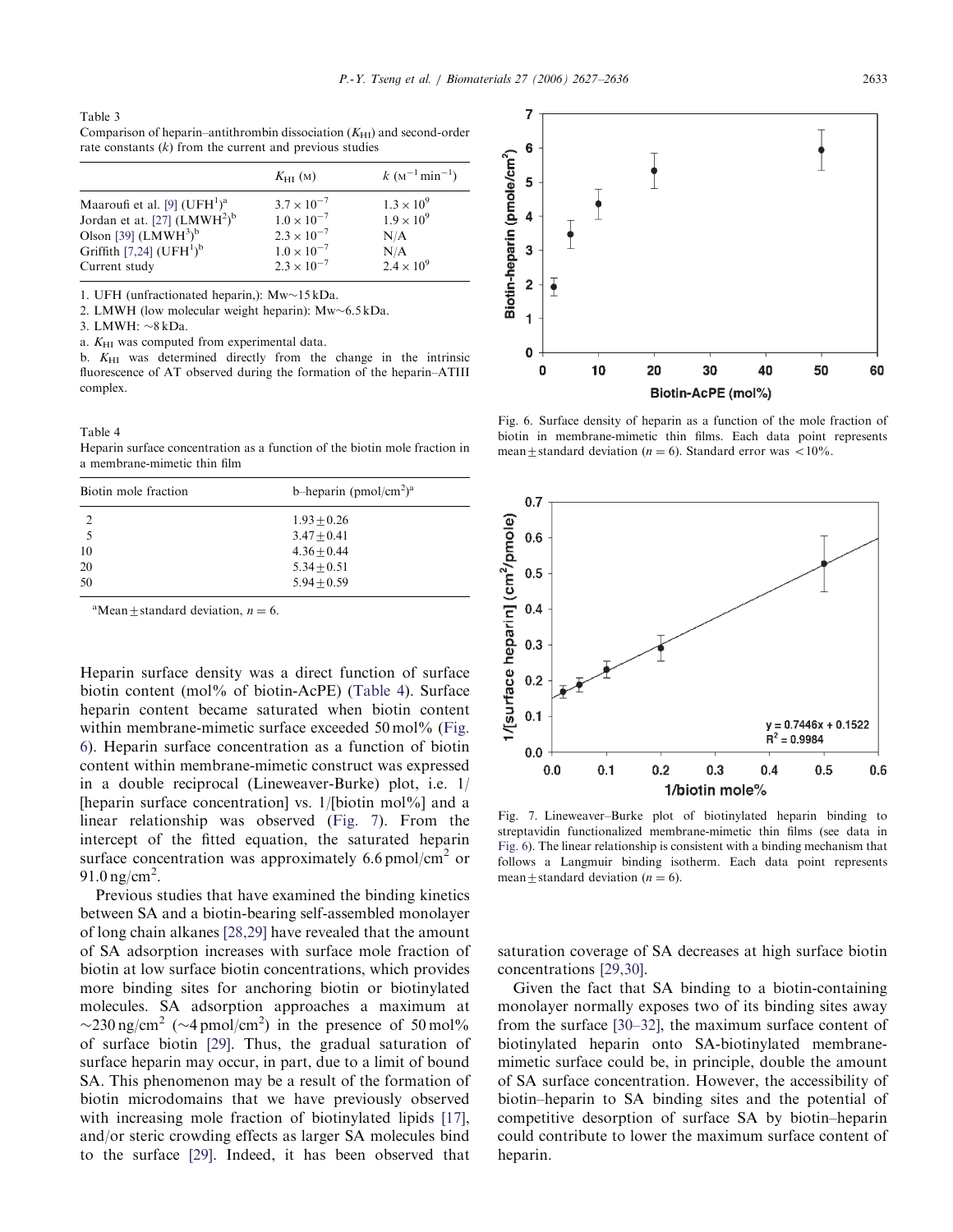Table 3 Comparison of heparin–antithrombin dissociation  $(K<sub>HI</sub>)$  and second-order rate constants  $(k)$  from the current and previous studies

|                                                      | $K_{\rm HI}$ (M)     | $k (M^{-1} \text{min}^{-1})$ |
|------------------------------------------------------|----------------------|------------------------------|
| Maaroufi et al. [9] $(UFH1)a$                        | $3.7 \times 10^{-7}$ | $1.3 \times 10^{9}$          |
| Jordan et at. [27] (LMWH <sup>2</sup> ) <sup>b</sup> | $1.0 \times 10^{-7}$ | $1.9 \times 10^{9}$          |
| Olson [39] $(LMWH3)b$                                | $2.3 \times 10^{-7}$ | N/A                          |
| Griffith [7,24] $(UFH1)b$                            | $1.0 \times 10^{-7}$ | N/A                          |
| Current study                                        | $2.3 \times 10^{-7}$ | $2.4 \times 10^{9}$          |

1. UFH (unfractionated heparin,):  $Mw\sim15$  kDa.

2. LMWH (low molecular weight heparin):  $Mw \sim 6.5$  kDa.

3. LMWH:  $\sim$ 8 kDa.

a.  $K_{\rm HI}$  was computed from experimental data.

b.  $K_{\text{HI}}$  was determined directly from the change in the intrinsic fluorescence of AT observed during the formation of the heparin–ATIII complex.

#### Table 4

Heparin surface concentration as a function of the biotin mole fraction in a membrane-mimetic thin film

| Biotin mole fraction | b-heparin (pmol/cm <sup>2</sup> ) <sup>a</sup> |  |  |  |
|----------------------|------------------------------------------------|--|--|--|
| 2                    | $1.93 + 0.26$                                  |  |  |  |
|                      | $3.47 + 0.41$                                  |  |  |  |
| 10                   | $4.36 + 0.44$                                  |  |  |  |
| 20                   | $5.34 + 0.51$                                  |  |  |  |
| 50                   | $5.94 + 0.59$                                  |  |  |  |

<sup>a</sup>Mean  $\pm$  standard deviation,  $n = 6$ .

Heparin surface density was a direct function of surface biotin content (mol% of biotin-AcPE) (Table 4). Surface heparin content became saturated when biotin content within membrane-mimetic surface exceeded 50 mol% (Fig. 6). Heparin surface concentration as a function of biotin content within membrane-mimetic construct was expressed in a double reciprocal (Lineweaver-Burke) plot, i.e. 1/ [heparin surface concentration] vs. 1/[biotin mol%] and a linear relationship was observed (Fig. 7). From the intercept of the fitted equation, the saturated heparin surface concentration was approximately 6.6 pmol/cm<sup>2</sup> or 91.0 ng/cm<sup>2</sup>.

Previous studies that have examined the binding kinetics between SA and a biotin-bearing self-assembled monolayer of long chain alkanes [28,29] have revealed that the amount of SA adsorption increases with surface mole fraction of biotin at low surface biotin concentrations, which provides more binding sites for anchoring biotin or biotinylated molecules. SA adsorption approaches a maximum at  $\sim$ 230 ng/cm<sup>2</sup> ( $\sim$ 4 pmol/cm<sup>2</sup>) in the presence of 50 mol% of surface biotin [29]. Thus, the gradual saturation of surface heparin may occur, in part, due to a limit of bound SA. This phenomenon may be a result of the formation of biotin microdomains that we have previously observed with increasing mole fraction of biotinylated lipids [17], and/or steric crowding effects as larger SA molecules bind to the surface [29]. Indeed, it has been observed that



Fig. 6. Surface density of heparin as a function of the mole fraction of biotin in membrane-mimetic thin films. Each data point represents mean  $\pm$  standard deviation (n = 6). Standard error was <10%.



Fig. 7. Lineweaver–Burke plot of biotinylated heparin binding to streptavidin functionalized membrane-mimetic thin films (see data in Fig. 6). The linear relationship is consistent with a binding mechanism that follows a Langmuir binding isotherm. Each data point represents mean  $\pm$  standard deviation (*n* = 6).

saturation coverage of SA decreases at high surface biotin concentrations [29,30].

Given the fact that SA binding to a biotin-containing monolayer normally exposes two of its binding sites away from the surface [30–32], the maximum surface content of biotinylated heparin onto SA-biotinylated membranemimetic surface could be, in principle, double the amount of SA surface concentration. However, the accessibility of biotin–heparin to SA binding sites and the potential of competitive desorption of surface SA by biotin–heparin could contribute to lower the maximum surface content of heparin.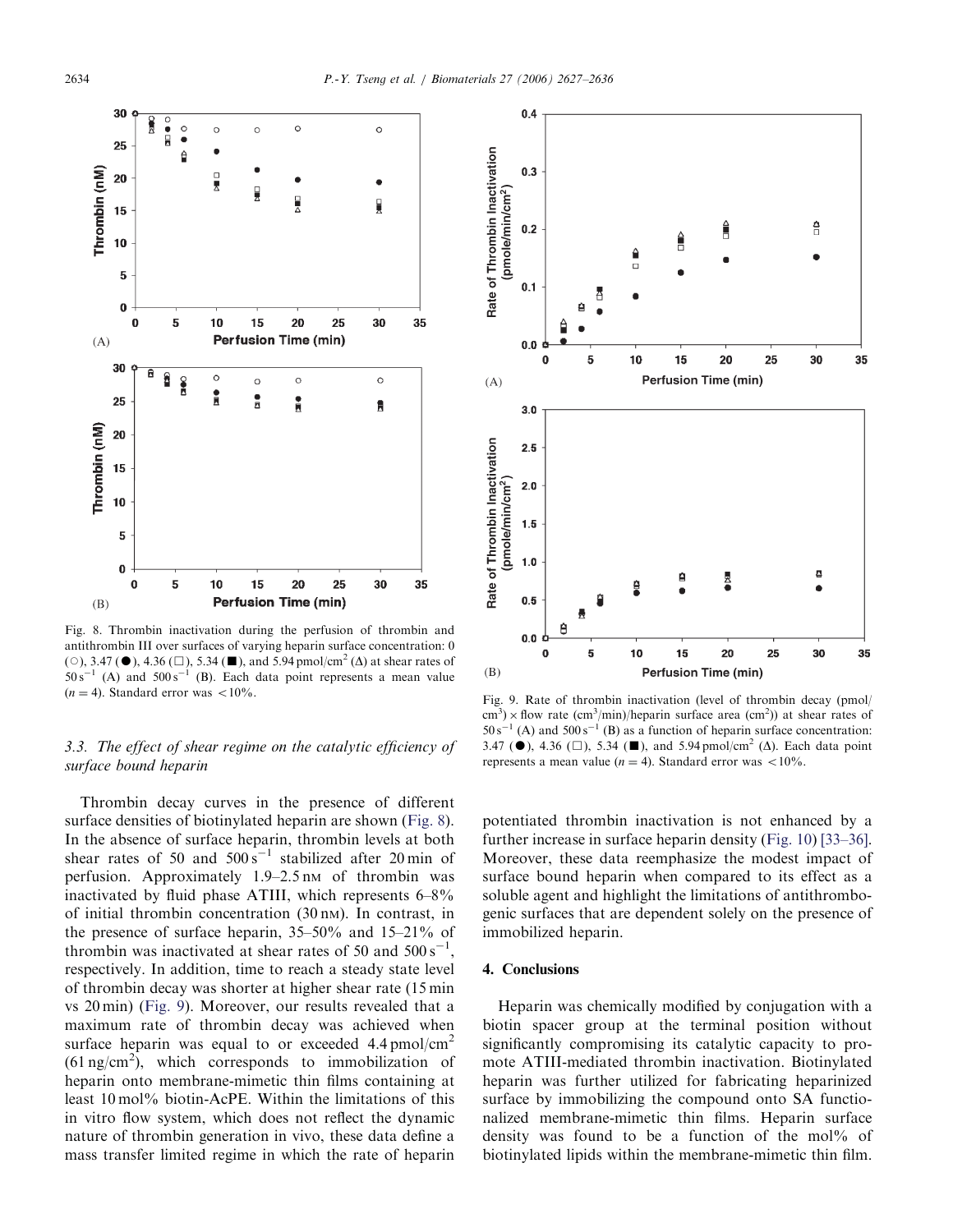

Fig. 8. Thrombin inactivation during the perfusion of thrombin and antithrombin III over surfaces of varying heparin surface concentration: 0 ( $\circ$ ), 3.47 ( $\bullet$ ), 4.36 ( $\Box$ ), 5.34 ( $\Box$ ), and 5.94 pmol/cm<sup>2</sup> ( $\Delta$ ) at shear rates of  $50 s^{-1}$  (A) and  $500 s^{-1}$  (B). Each data point represents a mean value

# 3.3. The effect of shear regime on the catalytic efficiency of surface bound heparin

Thrombin decay curves in the presence of different surface densities of biotinylated heparin are shown (Fig. 8). In the absence of surface heparin, thrombin levels at both shear rates of 50 and  $500 s^{-1}$  stabilized after 20 min of perfusion. Approximately  $1.9-2.5$  nm of thrombin was inactivated by fluid phase ATIII, which represents 6–8% of initial thrombin concentration (30 nM). In contrast, in the presence of surface heparin, 35–50% and 15–21% of thrombin was inactivated at shear rates of 50 and  $500 \text{ s}^{-1}$ , respectively. In addition, time to reach a steady state level of thrombin decay was shorter at higher shear rate (15 min vs 20 min) (Fig. 9). Moreover, our results revealed that a maximum rate of thrombin decay was achieved when surface heparin was equal to or exceeded  $4.4 \text{ pmol/cm}^2$  $(61 \text{ ng/cm}^2)$ , which corresponds to immobilization of heparin onto membrane-mimetic thin films containing at least 10 mol% biotin-AcPE. Within the limitations of this in vitro flow system, which does not reflect the dynamic nature of thrombin generation in vivo, these data define a mass transfer limited regime in which the rate of heparin



 $(n = 4)$ . Standard error was <10%.<br>Fig. 9. Rate of thrombin inactivation (level of thrombin decay (pmol/  $\text{cm}^3$ ) × flow rate (cm<sup>3</sup>/min)/heparin surface area (cm<sup>2</sup>)) at shear rates of  $50 s^{-}$  $1(A)$  and  $500 s^{-1}(B)$  as a function of heparin surface concentration: 3.47 ( $\bullet$ ), 4.36 ( $\Box$ ), 5.34 ( $\Box$ ), and 5.94 pmol/cm<sup>2</sup> ( $\Delta$ ). Each data point represents a mean value ( $n = 4$ ). Standard error was <10%.

potentiated thrombin inactivation is not enhanced by a further increase in surface heparin density (Fig. 10) [33–36]. Moreover, these data reemphasize the modest impact of surface bound heparin when compared to its effect as a soluble agent and highlight the limitations of antithrombogenic surfaces that are dependent solely on the presence of immobilized heparin.

# 4. Conclusions

Heparin was chemically modified by conjugation with a biotin spacer group at the terminal position without significantly compromising its catalytic capacity to promote ATIII-mediated thrombin inactivation. Biotinylated heparin was further utilized for fabricating heparinized surface by immobilizing the compound onto SA functionalized membrane-mimetic thin films. Heparin surface density was found to be a function of the mol% of biotinylated lipids within the membrane-mimetic thin film.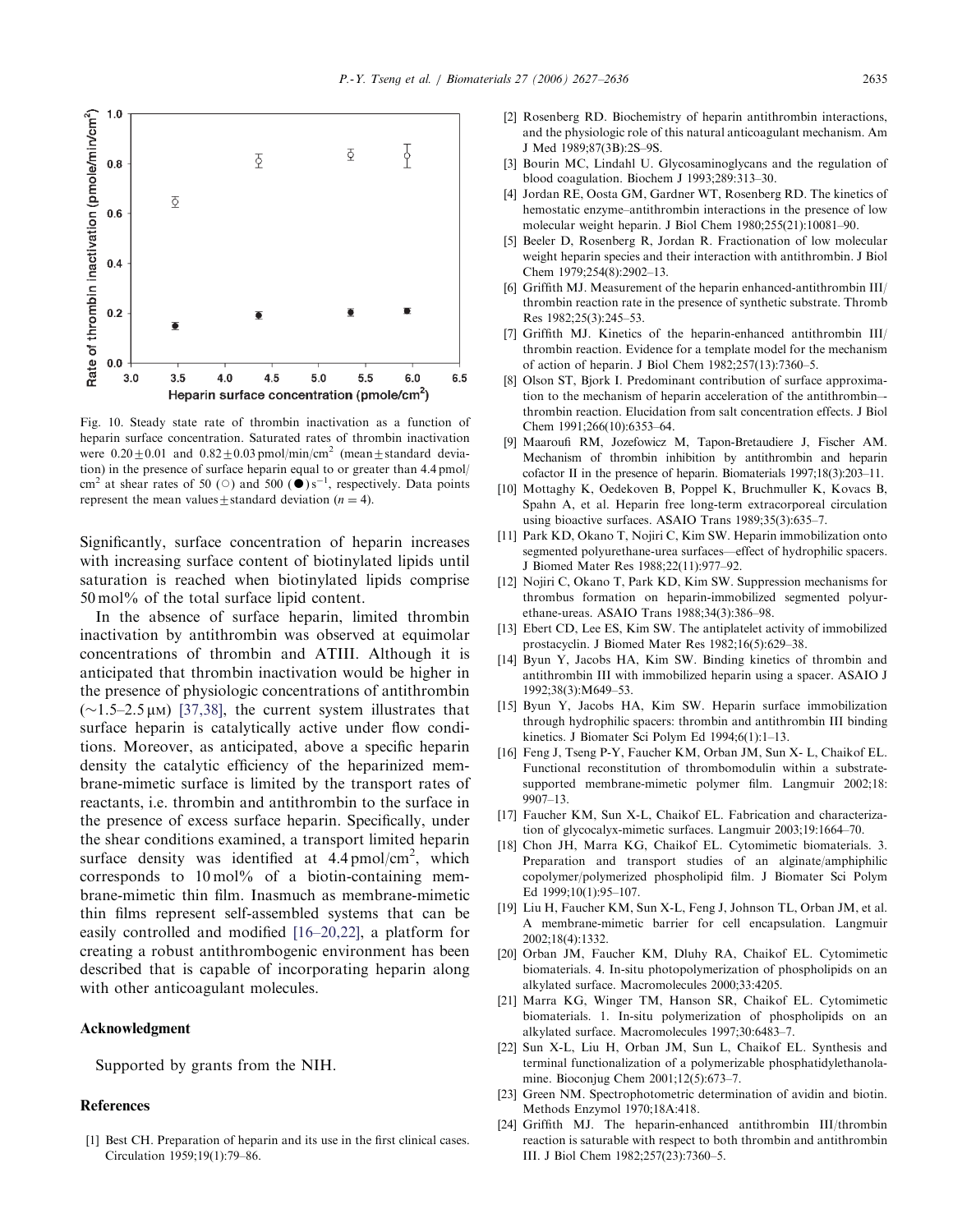

Fig. 10. Steady state rate of thrombin inactivation as a function of heparin surface concentration. Saturated rates of thrombin inactivation were  $0.20 \pm 0.01$  and  $0.82 \pm 0.03$  pmol/min/cm<sup>2</sup> (mean $\pm$ standard deviation) in the presence of surface heparin equal to or greater than 4.4 pmol/ cm<sup>2</sup> at shear rates of 50 ( $\circ$ ) and 500 ( $\bullet$ )s<sup>-1</sup>, respectively. Data points represent the mean values  $\pm$  standard deviation (n = 4).

Significantly, surface concentration of heparin increases with increasing surface content of biotinylated lipids until saturation is reached when biotinylated lipids comprise 50 mol% of the total surface lipid content.

In the absence of surface heparin, limited thrombin inactivation by antithrombin was observed at equimolar concentrations of thrombin and ATIII. Although it is anticipated that thrombin inactivation would be higher in the presence of physiologic concentrations of antithrombin  $(\sim1.5-2.5 \,\mu\text{m})$  [37,38], the current system illustrates that surface heparin is catalytically active under flow conditions. Moreover, as anticipated, above a specific heparin density the catalytic efficiency of the heparinized membrane-mimetic surface is limited by the transport rates of reactants, i.e. thrombin and antithrombin to the surface in the presence of excess surface heparin. Specifically, under the shear conditions examined, a transport limited heparin surface density was identified at  $4.4 \text{ pmol/cm}^2$ , which corresponds to  $10 \,\mathrm{mol}$ % of a biotin-containing membrane-mimetic thin film. Inasmuch as membrane-mimetic thin films represent self-assembled systems that can be easily controlled and modified [16–20,22], a platform for creating a robust antithrombogenic environment has been described that is capable of incorporating heparin along with other anticoagulant molecules.

#### Acknowledgment

Supported by grants from the NIH.

# References

[1] Best CH. Preparation of heparin and its use in the first clinical cases. Circulation 1959;19(1):79–86.

- [2] Rosenberg RD. Biochemistry of heparin antithrombin interactions, and the physiologic role of this natural anticoagulant mechanism. Am J Med 1989;87(3B):2S–9S.
- [3] Bourin MC, Lindahl U. Glycosaminoglycans and the regulation of blood coagulation. Biochem J 1993;289:313–30.
- [4] Jordan RE, Oosta GM, Gardner WT, Rosenberg RD. The kinetics of hemostatic enzyme–antithrombin interactions in the presence of low molecular weight heparin. J Biol Chem 1980;255(21):10081–90.
- [5] Beeler D, Rosenberg R, Jordan R. Fractionation of low molecular weight heparin species and their interaction with antithrombin. J Biol Chem 1979;254(8):2902–13.
- [6] Griffith MJ. Measurement of the heparin enhanced-antithrombin III/ thrombin reaction rate in the presence of synthetic substrate. Thromb Res 1982;25(3):245–53.
- [7] Griffith MJ. Kinetics of the heparin-enhanced antithrombin III/ thrombin reaction. Evidence for a template model for the mechanism of action of heparin. J Biol Chem 1982;257(13):7360–5.
- [8] Olson ST, Bjork I. Predominant contribution of surface approximation to the mechanism of heparin acceleration of the antithrombin– thrombin reaction. Elucidation from salt concentration effects. J Biol Chem 1991;266(10):6353–64.
- [9] Maaroufi RM, Jozefowicz M, Tapon-Bretaudiere J, Fischer AM. Mechanism of thrombin inhibition by antithrombin and heparin cofactor II in the presence of heparin. Biomaterials 1997;18(3):203–11.
- [10] Mottaghy K, Oedekoven B, Poppel K, Bruchmuller K, Kovacs B, Spahn A, et al. Heparin free long-term extracorporeal circulation using bioactive surfaces. ASAIO Trans 1989;35(3):635–7.
- [11] Park KD, Okano T, Nojiri C, Kim SW. Heparin immobilization onto segmented polyurethane-urea surfaces—effect of hydrophilic spacers. J Biomed Mater Res 1988;22(11):977–92.
- [12] Nojiri C, Okano T, Park KD, Kim SW. Suppression mechanisms for thrombus formation on heparin-immobilized segmented polyurethane-ureas. ASAIO Trans 1988;34(3):386–98.
- [13] Ebert CD, Lee ES, Kim SW. The antiplatelet activity of immobilized prostacyclin. J Biomed Mater Res 1982;16(5):629–38.
- [14] Byun Y, Jacobs HA, Kim SW. Binding kinetics of thrombin and antithrombin III with immobilized heparin using a spacer. ASAIO J 1992;38(3):M649–53.
- [15] Byun Y, Jacobs HA, Kim SW. Heparin surface immobilization through hydrophilic spacers: thrombin and antithrombin III binding kinetics. J Biomater Sci Polym Ed 1994;6(1):1–13.
- [16] Feng J, Tseng P-Y, Faucher KM, Orban JM, Sun X- L, Chaikof EL. Functional reconstitution of thrombomodulin within a substratesupported membrane-mimetic polymer film. Langmuir 2002;18: 9907–13.
- [17] Faucher KM, Sun X-L, Chaikof EL. Fabrication and characterization of glycocalyx-mimetic surfaces. Langmuir 2003;19:1664–70.
- [18] Chon JH, Marra KG, Chaikof EL. Cytomimetic biomaterials. 3. Preparation and transport studies of an alginate/amphiphilic copolymer/polymerized phospholipid film. J Biomater Sci Polym Ed 1999;10(1):95–107.
- [19] Liu H, Faucher KM, Sun X-L, Feng J, Johnson TL, Orban JM, et al. A membrane-mimetic barrier for cell encapsulation. Langmuir 2002;18(4):1332.
- [20] Orban JM, Faucher KM, Dluhy RA, Chaikof EL. Cytomimetic biomaterials. 4. In-situ photopolymerization of phospholipids on an alkylated surface. Macromolecules 2000;33:4205.
- [21] Marra KG, Winger TM, Hanson SR, Chaikof EL. Cytomimetic biomaterials. 1. In-situ polymerization of phospholipids on an alkylated surface. Macromolecules 1997;30:6483–7.
- [22] Sun X-L, Liu H, Orban JM, Sun L, Chaikof EL. Synthesis and terminal functionalization of a polymerizable phosphatidylethanolamine. Bioconjug Chem 2001;12(5):673–7.
- [23] Green NM. Spectrophotometric determination of avidin and biotin. Methods Enzymol 1970;18A:418.
- [24] Griffith MJ. The heparin-enhanced antithrombin III/thrombin reaction is saturable with respect to both thrombin and antithrombin III. J Biol Chem 1982;257(23):7360–5.